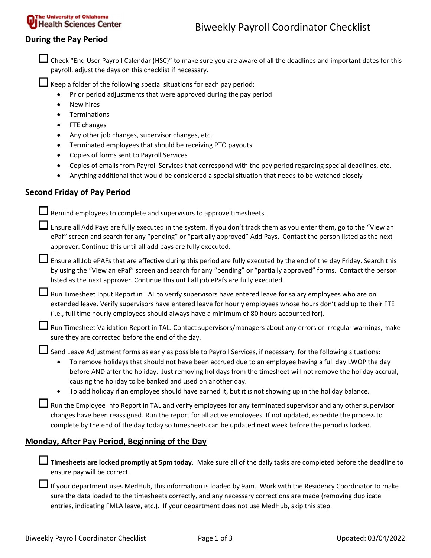### During the Pay Period

Check "End User Payroll Calendar (HSC)" to make sure you are aware of all the deadlines and important dates for this payroll, adjust the days on this checklist if necessary.

 $\Box$  Keep a folder of the following special situations for each pay period:

- Prior period adjustments that were approved during the pay period
- New hires
- **•** Terminations
- FTE changes
- Any other job changes, supervisor changes, etc.
- Terminated employees that should be receiving PTO payouts
- Copies of forms sent to Payroll Services
- Copies of emails from Payroll Services that correspond with the pay period regarding special deadlines, etc.
- Anything additional that would be considered a special situation that needs to be watched closely

#### Second Friday of Pay Period

 $\Box$  Remind employees to complete and supervisors to approve timesheets.

Ensure all Add Pays are fully executed in the system. If you don't track them as you enter them, go to the "View an ePaf" screen and search for any "pending" or "partially approved" Add Pays. Contact the person listed as the next approver. Continue this until all add pays are fully executed.

Ensure all Job ePAFs that are effective during this period are fully executed by the end of the day Friday. Search this by using the "View an ePaf" screen and search for any "pending" or "partially approved" forms. Contact the person listed as the next approver. Continue this until all job ePafs are fully executed.

LI Run Timesheet Input Report in TAL to verify supervisors have entered leave for salary employees who are on extended leave. Verify supervisors have entered leave for hourly employees whose hours don't add up to their FTE (i.e., full time hourly employees should always have a minimum of 80 hours accounted for).

Run Timesheet Validation Report in TAL. Contact supervisors/managers about any errors or irregular warnings, make sure they are corrected before the end of the day.

Send Leave Adjustment forms as early as possible to Payroll Services, if necessary, for the following situations:

- To remove holidays that should not have been accrued due to an employee having a full day LWOP the day before AND after the holiday. Just removing holidays from the timesheet will not remove the holiday accrual, causing the holiday to be banked and used on another day.
- To add holiday if an employee should have earned it, but it is not showing up in the holiday balance.

Run the Employee Info Report in TAL and verify employees for any terminated supervisor and any other supervisor changes have been reassigned. Run the report for all active employees. If not updated, expedite the process to complete by the end of the day today so timesheets can be updated next week before the period is locked.

#### Monday, After Pay Period, Beginning of the Day

**I** Timesheets are locked promptly at 5pm today. Make sure all of the daily tasks are completed before the deadline to ensure pay will be correct.

If your department uses MedHub, this information is loaded by 9am. Work with the Residency Coordinator to make sure the data loaded to the timesheets correctly, and any necessary corrections are made (removing duplicate entries, indicating FMLA leave, etc.). If your department does not use MedHub, skip this step.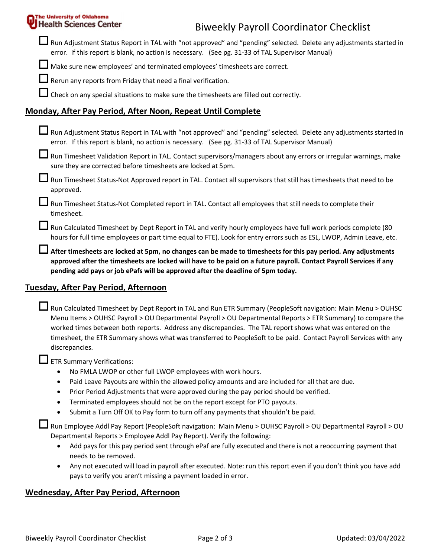| <b>Health Sciences Center</b><br><b>Biweekly Payroll Coordinator Checklist</b><br>$\blacksquare$ Run Adjustment Status Report in TAL with "not approved" and "pending" selected. Delete any adjustments started in<br>error. If this report is blank, no action is necessary. (See pg. 31-33 of TAL Supervisor Manual)<br>Make sure new employees' and terminated employees' timesheets are correct.<br>Rerun any reports from Friday that need a final verification.<br>Check on any special situations to make sure the timesheets are filled out correctly. |
|----------------------------------------------------------------------------------------------------------------------------------------------------------------------------------------------------------------------------------------------------------------------------------------------------------------------------------------------------------------------------------------------------------------------------------------------------------------------------------------------------------------------------------------------------------------|
|                                                                                                                                                                                                                                                                                                                                                                                                                                                                                                                                                                |
|                                                                                                                                                                                                                                                                                                                                                                                                                                                                                                                                                                |
|                                                                                                                                                                                                                                                                                                                                                                                                                                                                                                                                                                |
|                                                                                                                                                                                                                                                                                                                                                                                                                                                                                                                                                                |
|                                                                                                                                                                                                                                                                                                                                                                                                                                                                                                                                                                |
| Monday, After Pay Period, After Noon, Repeat Until Complete                                                                                                                                                                                                                                                                                                                                                                                                                                                                                                    |
| Run Adjustment Status Report in TAL with "not approved" and "pending" selected. Delete any adjustments started in<br>error. If this report is blank, no action is necessary. (See pg. 31-33 of TAL Supervisor Manual)                                                                                                                                                                                                                                                                                                                                          |
| Run Timesheet Validation Report in TAL. Contact supervisors/managers about any errors or irregular warnings, make<br>sure they are corrected before timesheets are locked at 5pm.                                                                                                                                                                                                                                                                                                                                                                              |
| Run Timesheet Status-Not Approved report in TAL. Contact all supervisors that still has timesheets that need to be<br>approved.                                                                                                                                                                                                                                                                                                                                                                                                                                |
| Run Timesheet Status-Not Completed report in TAL. Contact all employees that still needs to complete their<br>timesheet.                                                                                                                                                                                                                                                                                                                                                                                                                                       |
| Run Calculated Timesheet by Dept Report in TAL and verify hourly employees have full work periods complete (80<br>hours for full time employees or part time equal to FTE). Look for entry errors such as ESL, LWOP, Admin Leave, etc.                                                                                                                                                                                                                                                                                                                         |
| After timesheets are locked at 5pm, no changes can be made to timesheets for this pay period. Any adjustments<br>approved after the timesheets are locked will have to be paid on a future payroll. Contact Payroll Services if any<br>pending add pays or job ePafs will be approved after the deadline of 5pm today.                                                                                                                                                                                                                                         |
| Tuesday, After Pay Period, Afternoon                                                                                                                                                                                                                                                                                                                                                                                                                                                                                                                           |
| Run Calculated Timesheet by Dept Report in TAL and Run ETR Summary (PeopleSoft navigation: Main Menu > OUHSC                                                                                                                                                                                                                                                                                                                                                                                                                                                   |

Menu Items > OUHSC Payroll > OU Departmental Payroll > OU Departmental Reports > ETR Summary) to compare the worked times between both reports. Address any discrepancies. The TAL report shows what was entered on the timesheet, the ETR Summary shows what was transferred to PeopleSoft to be paid. Contact Payroll Services with any discrepancies.

ETR Summary Verifications:

- No FMLA LWOP or other full LWOP employees with work hours.
- Paid Leave Payouts are within the allowed policy amounts and are included for all that are due.
- Prior Period Adjustments that were approved during the pay period should be verified.
- Terminated employees should not be on the report except for PTO payouts.
- Submit a Turn Off OK to Pay form to turn off any payments that shouldn't be paid.

Run Employee Addl Pay Report (PeopleSoft navigation: Main Menu > OUHSC Payroll > OU Departmental Payroll > OU Departmental Reports > Employee Addl Pay Report). Verify the following:

- Add pays for this pay period sent through ePaf are fully executed and there is not a reoccurring payment that needs to be removed.
- Any not executed will load in payroll after executed. Note: run this report even if you don't think you have add pays to verify you aren't missing a payment loaded in error.

#### Wednesday, After Pay Period, Afternoon